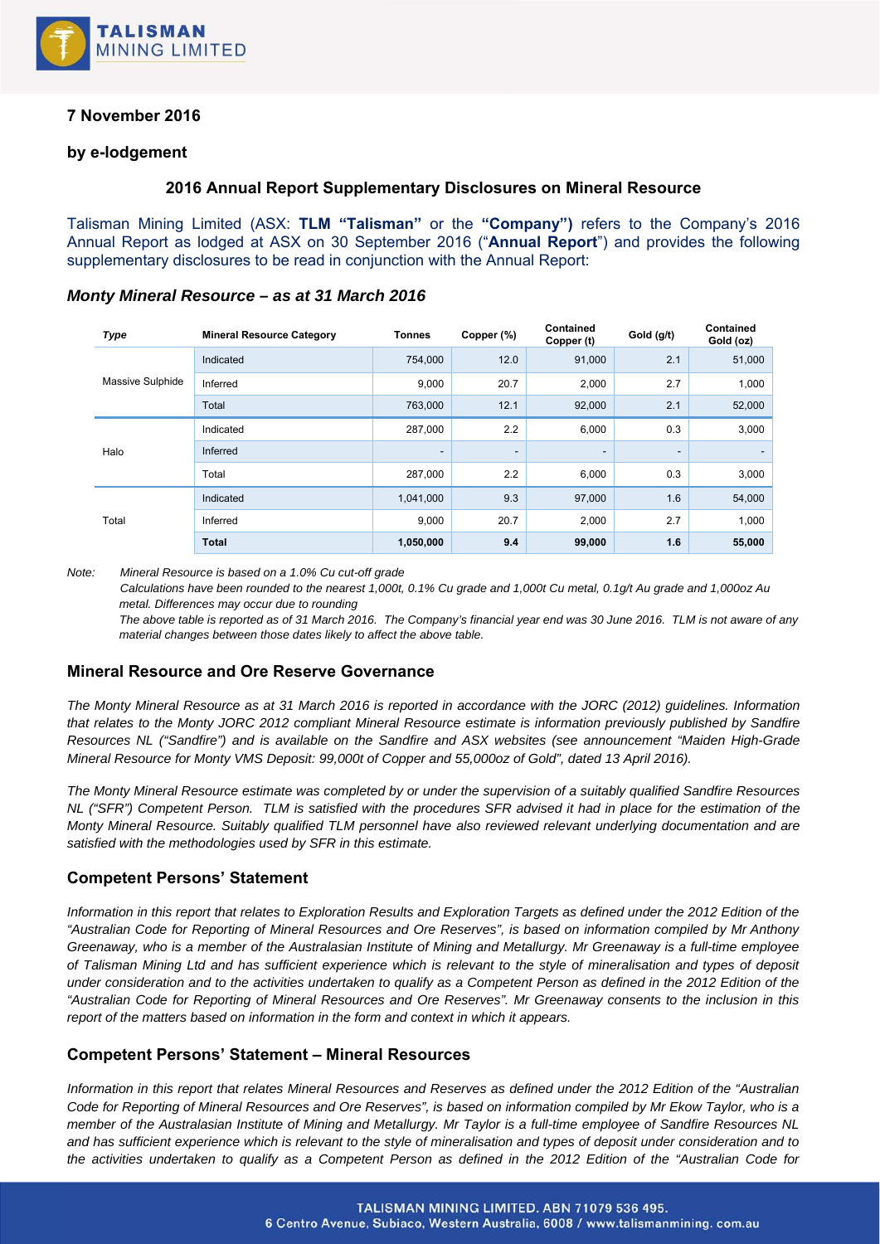

# **7 November 2016**

### **by e-lodgement**

### **2016 Annual Report Supplementary Disclosures on Mineral Resource**

Talisman Mining Limited (ASX: **TLM "Talisman"** or the **"Company")** refers to the Company's 2016 Annual Report as lodged at ASX on 30 September 2016 ("**Annual Report**") and provides the following supplementary disclosures to be read in conjunction with the Annual Report:

| <b>Type</b>      | <b>Mineral Resource Category</b> | <b>Tonnes</b>            | Copper (%)               | <b>Contained</b><br>Copper (t) | Gold (g/t)               | Contained<br>Gold (oz)   |
|------------------|----------------------------------|--------------------------|--------------------------|--------------------------------|--------------------------|--------------------------|
| Massive Sulphide | Indicated                        | 754,000                  | 12.0                     | 91,000                         | 2.1                      | 51,000                   |
|                  | Inferred                         | 9,000                    | 20.7                     | 2,000                          | 2.7                      | 1,000                    |
|                  | Total                            | 763,000                  | 12.1                     | 92,000                         | 2.1                      | 52,000                   |
| Halo             | Indicated                        | 287,000                  | 2.2                      | 6,000                          | 0.3                      | 3,000                    |
|                  | Inferred                         | $\overline{\phantom{a}}$ | $\overline{\phantom{0}}$ | -                              | $\overline{\phantom{0}}$ | $\overline{\phantom{a}}$ |
|                  | Total                            | 287,000                  | 2.2                      | 6,000                          | 0.3                      | 3,000                    |
| Total            | Indicated                        | 1,041,000                | 9.3                      | 97,000                         | 1.6                      | 54,000                   |
|                  | Inferred                         | 9,000                    | 20.7                     | 2,000                          | 2.7                      | 1,000                    |
|                  | <b>Total</b>                     | 1,050,000                | 9.4                      | 99,000                         | 1.6                      | 55,000                   |

### *Monty Mineral Resource – as at 31 March 2016*

*Note: Mineral Resource is based on a 1.0% Cu cut-off grade* 

 *Calculations have been rounded to the nearest 1,000t, 0.1% Cu grade and 1,000t Cu metal, 0.1g/t Au grade and 1,000oz Au metal. Differences may occur due to rounding* 

*The above table is reported as of 31 March 2016. The Company's financial year end was 30 June 2016. TLM is not aware of any material changes between those dates likely to affect the above table.* 

## **Mineral Resource and Ore Reserve Governance**

*The Monty Mineral Resource as at 31 March 2016 is reported in accordance with the JORC (2012) guidelines. Information that relates to the Monty JORC 2012 compliant Mineral Resource estimate is information previously published by Sandfire Resources NL ("Sandfire") and is available on the Sandfire and ASX websites (see announcement "Maiden High-Grade Mineral Resource for Monty VMS Deposit: 99,000t of Copper and 55,000oz of Gold", dated 13 April 2016).* 

*The Monty Mineral Resource estimate was completed by or under the supervision of a suitably qualified Sandfire Resources NL ("SFR") Competent Person. TLM is satisfied with the procedures SFR advised it had in place for the estimation of the Monty Mineral Resource. Suitably qualified TLM personnel have also reviewed relevant underlying documentation and are satisfied with the methodologies used by SFR in this estimate.* 

## **Competent Persons' Statement**

*Information in this report that relates to Exploration Results and Exploration Targets as defined under the 2012 Edition of the "Australian Code for Reporting of Mineral Resources and Ore Reserves", is based on information compiled by Mr Anthony Greenaway, who is a member of the Australasian Institute of Mining and Metallurgy. Mr Greenaway is a full-time employee of Talisman Mining Ltd and has sufficient experience which is relevant to the style of mineralisation and types of deposit under consideration and to the activities undertaken to qualify as a Competent Person as defined in the 2012 Edition of the "Australian Code for Reporting of Mineral Resources and Ore Reserves". Mr Greenaway consents to the inclusion in this report of the matters based on information in the form and context in which it appears.* 

## **Competent Persons' Statement – Mineral Resources**

*Information in this report that relates Mineral Resources and Reserves as defined under the 2012 Edition of the "Australian Code for Reporting of Mineral Resources and Ore Reserves", is based on information compiled by Mr Ekow Taylor, who is a member of the Australasian Institute of Mining and Metallurgy. Mr Taylor is a full-time employee of Sandfire Resources NL and has sufficient experience which is relevant to the style of mineralisation and types of deposit under consideration and to the activities undertaken to qualify as a Competent Person as defined in the 2012 Edition of the "Australian Code for*